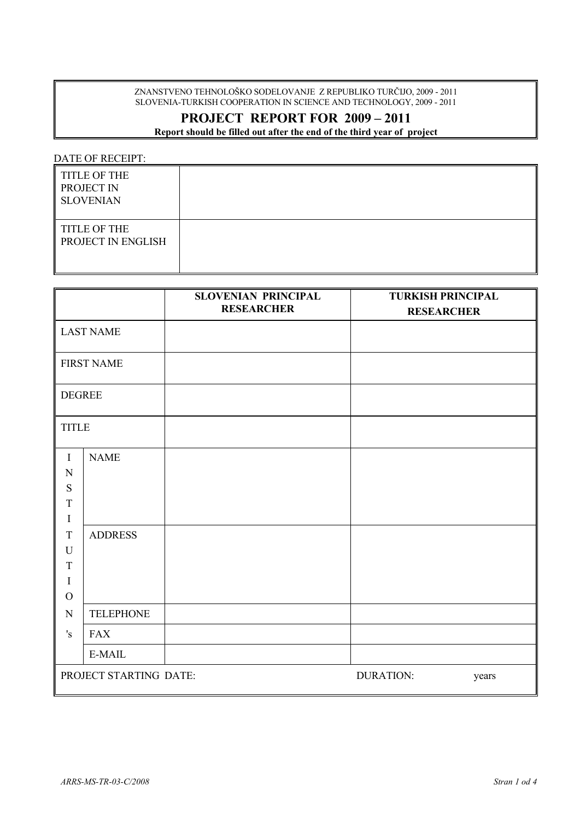ZNANSTVENO TEHNOLOŠKO SODELOVANJE Z REPUBLIKO TURČIJO, 2009 - 2011 SLOVENIA-TURKISH COOPERATION IN SCIENCE AND TECHNOLOGY, 2009 - 2011

## **PROJECT REPORT FOR 2009 – 2011**

**Report should be filled out after the end of the third year of project**

DATE OF RECEIPT:

| <b>TITLE OF THE</b><br>PROJECT IN<br><b>SLOVENIAN</b> |  |
|-------------------------------------------------------|--|
| <b>TITLE OF THE</b><br>PROJECT IN ENGLISH             |  |

|                                                                                                |                               | <b>SLOVENIAN PRINCIPAL</b> | <b>TURKISH PRINCIPAL</b>  |  |
|------------------------------------------------------------------------------------------------|-------------------------------|----------------------------|---------------------------|--|
|                                                                                                |                               | <b>RESEARCHER</b>          | <b>RESEARCHER</b>         |  |
|                                                                                                | <b>LAST NAME</b>              |                            |                           |  |
|                                                                                                | <b>FIRST NAME</b>             |                            |                           |  |
| <b>DEGREE</b>                                                                                  |                               |                            |                           |  |
| <b>TITLE</b>                                                                                   |                               |                            |                           |  |
| $\mathbf I$<br>N<br>${\bf S}$<br>$\mathbf T$<br>$\mathbf I$<br>T<br>$\mathbf U$<br>$\mathbf T$ | <b>NAME</b><br><b>ADDRESS</b> |                            |                           |  |
| $\mathbf I$<br>$\mathcal{O}$                                                                   |                               |                            |                           |  |
| ${\bf N}$                                                                                      | <b>TELEPHONE</b>              |                            |                           |  |
| 's                                                                                             | <b>FAX</b>                    |                            |                           |  |
|                                                                                                | E-MAIL                        |                            |                           |  |
|                                                                                                | PROJECT STARTING DATE:        |                            | <b>DURATION:</b><br>years |  |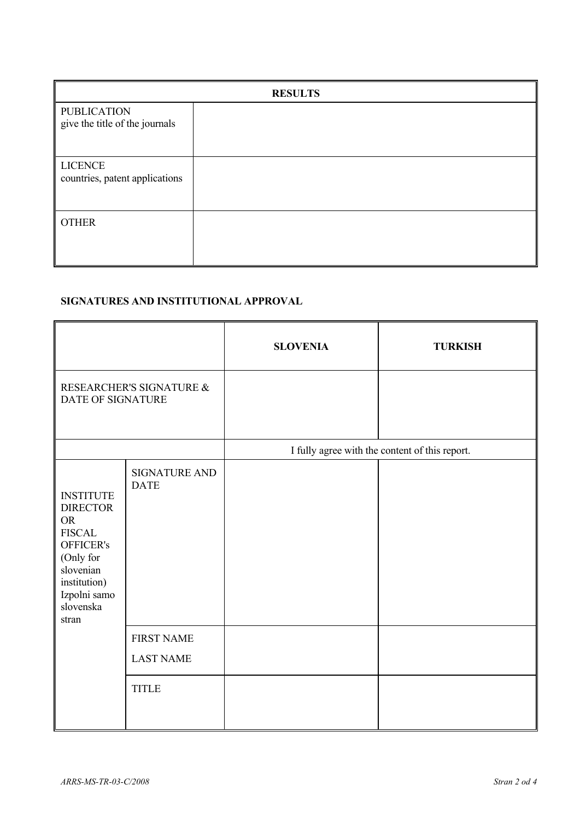| <b>RESULTS</b>                                       |  |  |  |
|------------------------------------------------------|--|--|--|
| <b>PUBLICATION</b><br>give the title of the journals |  |  |  |
| <b>LICENCE</b><br>countries, patent applications     |  |  |  |
| <b>OTHER</b>                                         |  |  |  |

## **SIGNATURES AND INSTITUTIONAL APPROVAL**

|                                                                                                                                                                |                                       | <b>SLOVENIA</b>                                | <b>TURKISH</b> |
|----------------------------------------------------------------------------------------------------------------------------------------------------------------|---------------------------------------|------------------------------------------------|----------------|
| RESEARCHER'S SIGNATURE &<br>DATE OF SIGNATURE                                                                                                                  |                                       |                                                |                |
|                                                                                                                                                                |                                       | I fully agree with the content of this report. |                |
| <b>INSTITUTE</b><br><b>DIRECTOR</b><br><b>OR</b><br><b>FISCAL</b><br>OFFICER's<br>(Only for<br>slovenian<br>institution)<br>Izpolni samo<br>slovenska<br>stran | <b>SIGNATURE AND</b><br><b>DATE</b>   |                                                |                |
|                                                                                                                                                                | <b>FIRST NAME</b><br><b>LAST NAME</b> |                                                |                |
|                                                                                                                                                                | <b>TITLE</b>                          |                                                |                |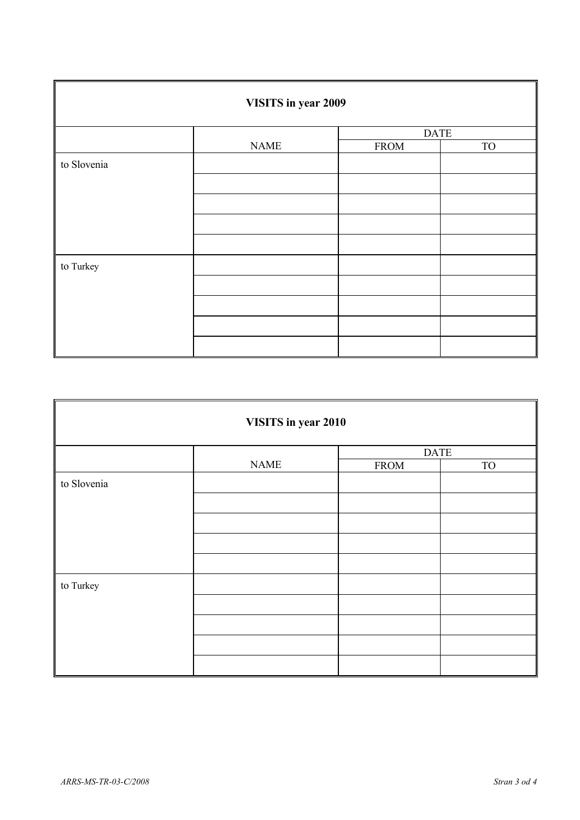| VISITS in year 2009 |             |             |           |
|---------------------|-------------|-------------|-----------|
|                     |             | <b>DATE</b> |           |
|                     | <b>NAME</b> | <b>FROM</b> | <b>TO</b> |
| to Slovenia         |             |             |           |
|                     |             |             |           |
|                     |             |             |           |
|                     |             |             |           |
|                     |             |             |           |
| to Turkey           |             |             |           |
|                     |             |             |           |
|                     |             |             |           |
|                     |             |             |           |
|                     |             |             |           |

| VISITS in year 2010 |             |             |           |  |
|---------------------|-------------|-------------|-----------|--|
|                     |             | <b>DATE</b> |           |  |
|                     | <b>NAME</b> | <b>FROM</b> | <b>TO</b> |  |
| to Slovenia         |             |             |           |  |
|                     |             |             |           |  |
|                     |             |             |           |  |
| to Turkey           |             |             |           |  |
|                     |             |             |           |  |
|                     |             |             |           |  |
|                     |             |             |           |  |
|                     |             |             |           |  |